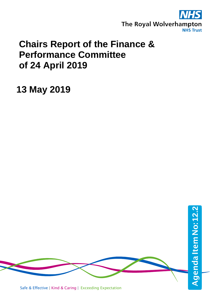

# **Chairs Report of the Finance & Performance Committee of 24 April 2019**

**13 May 2019**

Safe & Effective | Kind & Caring | Exceeding Expectation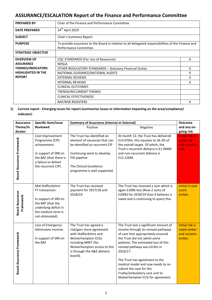# **ASSURANCE/ESCALATION Report of the Finance and Performance Committee**

| <b>PREPARED BY</b>                                                                         | Chair of the Finance and Performance Committee                                                                              |   |  |
|--------------------------------------------------------------------------------------------|-----------------------------------------------------------------------------------------------------------------------------|---|--|
| <b>DATE PREPARED</b>                                                                       | 24 <sup>th</sup> April 2019                                                                                                 |   |  |
| <b>SUBJECT</b>                                                                             | Chair's Summary Report                                                                                                      |   |  |
| <b>PURPOSE</b>                                                                             | To provide assurance to the Board in relation to all delegated responsibilities of the Finance and<br>Performance Committee |   |  |
| <b>STRATEGIC OBJECTIVE</b>                                                                 |                                                                                                                             |   |  |
| <b>OVERVIEW OF</b>                                                                         | CQC STANDARDS (For Use of Resources)                                                                                        | x |  |
| <b>ASSURANCE</b>                                                                           | <b>NHSLA</b>                                                                                                                |   |  |
| <b>THEMES/INDICATORS</b><br><b>OTHER REGULATORY STANDARDS - Statutory Financial Duties</b> |                                                                                                                             |   |  |
| <b>HIGHLIGHTED IN THE</b>                                                                  | NATIONAL GUIDANCE/NATIONAL AUDITS                                                                                           | x |  |
| <b>REPORT</b>                                                                              | <b>EXTERNAL REVIEWS</b>                                                                                                     | x |  |
|                                                                                            | <b>INTERNAL REVIEWS</b>                                                                                                     | x |  |
|                                                                                            | <b>CLINICAL OUTCOMES</b>                                                                                                    |   |  |
|                                                                                            | TRENDS/RECURRENT THEMES                                                                                                     |   |  |
|                                                                                            | <b>CLINICAL EFFECTIVENESS</b>                                                                                               |   |  |
|                                                                                            | <b>BAF/RISK REGISTERS</b>                                                                                                   | x |  |

## **1) Current report - Emerging issues for report (summarise issues or information impacting on the area/compliance/ indicator)**

| <b>Assurance</b>                    | Specific Item/issue                                                                                                                                  | <b>Summary of Assurance (internal or External)</b>                                                                                                                                                          | <b>Outcome</b>                                                                                                                                                                                                                                                                                                                                                                                                    |                                                            |
|-------------------------------------|------------------------------------------------------------------------------------------------------------------------------------------------------|-------------------------------------------------------------------------------------------------------------------------------------------------------------------------------------------------------------|-------------------------------------------------------------------------------------------------------------------------------------------------------------------------------------------------------------------------------------------------------------------------------------------------------------------------------------------------------------------------------------------------------------------|------------------------------------------------------------|
| Theme/In                            | <b>Reviewed</b>                                                                                                                                      | Positive                                                                                                                                                                                                    | Negative                                                                                                                                                                                                                                                                                                                                                                                                          | and any on-                                                |
| dicator                             |                                                                                                                                                      |                                                                                                                                                                                                             |                                                                                                                                                                                                                                                                                                                                                                                                                   | going risk                                                 |
| <b>Board Assurance Framework</b>    | Cost Improvement<br>Programme (CIP)<br>achievement.<br>In support of SR8 on<br>the BAF (that there is<br>a failure to deliver<br>the recurrent CIP). | The Trust has identified an<br>element of vacancies that can<br>be identified as recurrent CIP<br>Continuing work to develop<br>PID pipeline<br>The Clinical Excellence<br>programme is well supported.     | At month 12, the Trust has delivered<br>£14.070m, this equates to 56.3% of<br>the overall target. Of which, the<br>Trust's recurrent delivery is £1.944M<br>and non-recurrent delivery is<br>£12.126M.                                                                                                                                                                                                            | <b>Initial risk is</b><br>rated red<br>and remains<br>red. |
| <b>Board Assurance</b><br>Framework | Mid Staffordshire<br>FT transaction.<br>In support of SR9 on<br>the BAF (that the<br>underlying deficit in<br>the medium term is<br>not eliminated). | The Trust has received<br>payment for 2017/18 and<br>2018/19.                                                                                                                                               | The Trust has received a sum which is<br>again £200k less (Now 2 sums of<br>£200k) for 2018/19 than it believes is<br>owed and is continuing to query this.                                                                                                                                                                                                                                                       | Initial in year<br>score<br>amber.                         |
| Board Assurance Framework           | Loss of Emergency<br>Admissions Income.<br>In support of SR9 on<br>the BAF                                                                           | The Trust has agreed a<br>risk/gain share agreement<br>with Staffordshire and<br><b>Wolverhampton CCGs</b><br>including MRET (for<br>Wolverhampton access to this<br>is through the A&E delivery<br>board). | The Trust lost a significant amount of<br>income through its revised pathways<br>of care that appropriately ensured<br>the Trust did not admit some<br>patients. The estimated loss of this<br>revised pathway was £4.8m in<br>2016/17.<br>The Trust has agreement to the<br>medical model and now needs to re-<br>submit the case for the<br>Frailty/ambulatory care unit to<br>Wolverhampton CCG for agreement. | Initial risk is<br>rated amber<br>and remains<br>amber.    |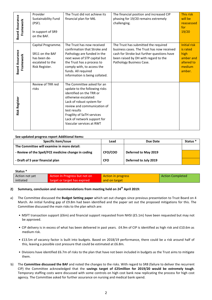| <b>Board Assurance</b><br>Framework | Provider<br>Sustainability Fund<br>(PSF).<br>In support of SR9<br>on the BAF.               | The Trust did not achieve its<br>financial plan for M6.                                                                                                                                                                                                                              | The financial position and increased CIP<br>phasing for 19/20 remains extremely<br>challenging.                                                                                                      | This risk<br>will be<br>reassessed<br>for<br>19/20                                     |
|-------------------------------------|---------------------------------------------------------------------------------------------|--------------------------------------------------------------------------------------------------------------------------------------------------------------------------------------------------------------------------------------------------------------------------------------|------------------------------------------------------------------------------------------------------------------------------------------------------------------------------------------------------|----------------------------------------------------------------------------------------|
| <b>Board Assurance</b><br>Framework | Capital Programme.<br>SR11 on the BAF<br>has been de-<br>escalated to the<br>Risk Register. | The Trust has now received<br>confirmation that Stroke and<br>Pathology are funded in the<br>next wave of STP capital but<br>the Trust has a process to<br>comply with, to access the<br>funds. All required<br>information is being collated.                                       | The Trust has submitted the required<br>business cases. The Trust has now received<br>cash for Stroke but further questions have<br>been raised by DH with regard to the<br>Pathology Business Case. | <b>Initial risk</b><br>is rated<br>high<br>amber and<br>altered to<br>medium<br>amber. |
| <b>Risk Register</b>                | Review of TRR red<br>risks                                                                  | The Committee asked for an<br>update to the following risks<br>identified on the TRR or<br>otherwise escalated:<br>Lack of robust system for<br>review and communication of<br>test results<br>Fragility of SaTH services<br>Lack of network support for<br>Vascular services at RWT |                                                                                                                                                                                                      |                                                                                        |

#### **See updated progress report Additional Items:**

| Specific item/Issue                                 | Lead       | Due Date              | Status <sup>*</sup> |
|-----------------------------------------------------|------------|-----------------------|---------------------|
| The Committee will examine in more detail:          |            |                       |                     |
| - Review of the Spell/FCE medicine change in coding | CFO/COO    | Deferred to May 2019  |                     |
| - Draft of 5 year financial plan                    | <b>CFO</b> | Deferred to July 2019 |                     |

#### **Status \***

| Action not yet | Action In Progress but not on | Action in progress | <b>Action Completed</b> |
|----------------|-------------------------------|--------------------|-------------------------|
| initiated      | target or target has expired  | and on target      |                         |

## **2) Summary, conclusion and recommendations from meeting held on 24th April 2019:**

- a) The Committee discussed the **Budget Setting paper** which set out changes since previous presentation to Trust Board on 4 March. An initial funding gap of £9.8m had been identified and the paper set out the proposed mitigations for this. The Committee discussed the main risks to the plan which are:
	- MSFT transaction support (£6m) and financial support requested from NHSI (£5.1m) have been requested but may not be approved.
	- CIP delivery is in excess of what has been delivered in past years. £4.9m of CIP is identified as high risk and £10.6m as medium risk.
	- £13.5m of vacancy factor is built into budgets. Based on 2018/19 performance, there could be a risk around half of this, leaving a possible cost pressure that could be estimated at £6.8m.
	- Divisions have identified £6.7m of risks to the plan that have not been included in budgets as the Trust aims to mitigate them.
- b) The **Committee discussed the BAF** and noted the changes to the risks. With regard to SR8 (failure to deliver the recurrent CIP) the Committee acknowledged that the **savings target of £25million for 2019/20 would be extremely tough**. Temporary staffing costs were discussed with some controls on high cost bank now replicating the process for high cost agency. The Committee asked for further assurance on nursing and medical bank spend.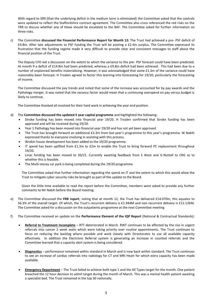With regard to SR9 (that the underlying deficit in the medium term is eliminated) the Committee asked that the controls were updated to reflect the Staffordshire contract agreement. The Committee also cross referenced the red risks on the TRR to discuss whether any of these should be escalated to the BAF. The Committee asked for further information on three risks.

c) The Committee **discussed the Financial Performance Report for Month 12:** The Trust had achieved a pre- PSF deficit of £9.8m. After late adjustments to PSF funding the Trust will be posting a £2.4m surplus. The Committee expressed its frustration that the funding regime made it very difficult to provide clear and consistent messages to staff about the financial position of the Trust.

The Deputy CFO led a discussion on the extent to which the variance to the pre- PSF forecast could have been predicted. At month 9 a deficit of £14.8m had been predicted, whereas a £9.8m deficit had been achieved. This had been due to a number of unplanned benefits materialising. However, it was acknowledged that some £1.3m of the variance could have reasonably been forecast. H Troalen agreed to factor this learning into forecasting for 19/20, particularly the forecasting of income.

The Committee discussed the pay trends and noted that some of the increase was accounted for by pay awards and the Pathology merger. It was noted that the vacancy factor would mean that a continuing overspend on pay versus budget is likely to continue.

The Committee thanked all involved for their hard work in achieving the year end position.

- d) The **Committee discussed the updated 5 year capital programme** and highlighted the following:
	- Stroke funding has been moved into financial year 19/20. H Troalen confirmed that Stroke funding has been approved and will be received during 19/20.
	- Year 1 Pathology has been moved into financial year 19/20 and has not yet been approved.
	- The Trust has brought forward an additional £3.3m from last year's programme to this year's programme. W Nabih expressed thanks to everyone involving in assisting with this process.
	- Wrekin house development has been added to the 19/20 programme.
	- IT spend has been uplifted from £1.3m to £2m to enable the Trust to bring forward PC replacement throughout 19/20.
	- Linac funding has been moved to 20/21. Currently awaiting feedback from S West and G Nuttall to CRG as to whether this is feasible.
	- The Multi-storey car park is being completed during the 19/20 programme

The Committee asked that further information regarding the spend on IT and the extent to which this would allow the Trust to mitigate cyber security risks be brought as part of the update to the Board.

Given the little time available to read the report before the Committee, members were asked to provide any further comments to Mr Nabih before the Board meeting.

- e) The Committee discussed the **FRB report**, noting that at month 12, the Trust has delivered £14.070m, this equates to 56.3% of the overall target. Of which, the Trust's recurrent delivery is £1.944M and non-recurrent delivery is £12.126M. The Committee asked for a discussion on the outpatients programme at the next Committee meeting
- f) The Committee received an update on the **Performance Element of the IQP Report** (National & Contractual Standards):
	- **Referral to Treatment Incomplete** RTT deteriorated in March. RWT continues to be affected by the rise in urgent referrals into cancer 2 week waits which were taking priority over routine appointments. The Trust continues to focus on reducing the backlog where possible and work closely with Directorates to use all available capacity effectively. In addition the Electronic Referral system is generating an increase in counted referrals and the Committee learned that a capacity alert system is being considered.
	- **Diagnostics** performance remained within standard in March and is now back within standard. The Trust continues to see an increase of cardiac referrals into radiology for CT and MRI Heart for which extra capacity has been made available.
	- **Emergency Department** The Trust failed to achieve both type 1 and the All Types target for the month. One patient breached the 12 hour decision to admit target during the month of March. This was a mental health patient awaiting a specialist bed. The Trust remained in the top 30 nationally.